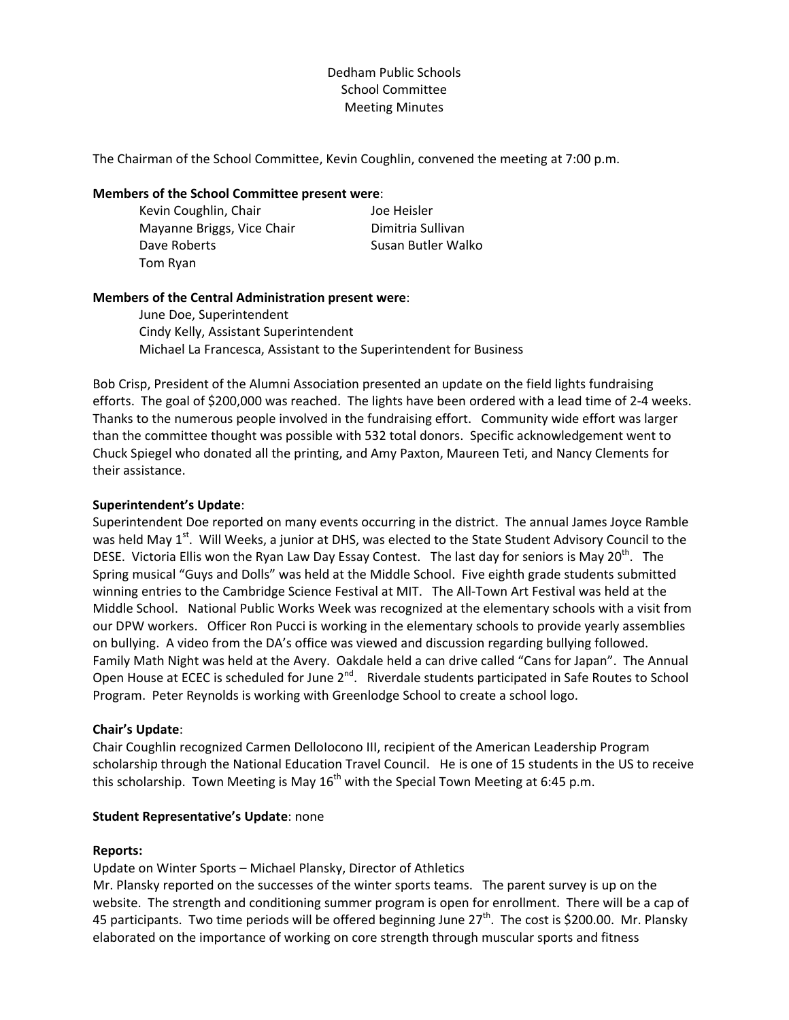# Dedham Public Schools School Committee Meeting Minutes

The Chairman of the School Committee, Kevin Coughlin, convened the meeting at 7:00 p.m.

### **Members of the School Committee present were**:

Kevin Coughlin, Chair **Base Chair** School Heisler Mayanne Briggs, Vice Chair **Dimitria Sullivan** Dave Roberts **Calculate Contract Contract Contract Contract Contract Contract Contract Contract Contract Contract Contract Contract Contract Contract Contract Contract Contract Contract Contract Contract Contract Contract** Tom Ryan

## **Members of the Central Administration present were**:

June Doe, Superintendent Cindy Kelly, Assistant Superintendent Michael La Francesca, Assistant to the Superintendent for Business

Bob Crisp, President of the Alumni Association presented an update on the field lights fundraising efforts. The goal of \$200,000 was reached. The lights have been ordered with a lead time of 2‐4 weeks. Thanks to the numerous people involved in the fundraising effort. Community wide effort was larger than the committee thought was possible with 532 total donors. Specific acknowledgement went to Chuck Spiegel who donated all the printing, and Amy Paxton, Maureen Teti, and Nancy Clements for their assistance.

## **Superintendent's Update**:

Superintendent Doe reported on many events occurring in the district. The annual James Joyce Ramble was held May 1<sup>st</sup>. Will Weeks, a junior at DHS, was elected to the State Student Advisory Council to the DESE. Victoria Ellis won the Ryan Law Day Essay Contest. The last day for seniors is May 20<sup>th</sup>. The Spring musical "Guys and Dolls" was held at the Middle School. Five eighth grade students submitted winning entries to the Cambridge Science Festival at MIT. The All-Town Art Festival was held at the Middle School. National Public Works Week was recognized at the elementary schools with a visit from our DPW workers. Officer Ron Pucci is working in the elementary schools to provide yearly assemblies on bullying. A video from the DA's office was viewed and discussion regarding bullying followed. Family Math Night was held at the Avery. Oakdale held a can drive called "Cans for Japan". The Annual Open House at ECEC is scheduled for June 2<sup>nd</sup>. Riverdale students participated in Safe Routes to School Program. Peter Reynolds is working with Greenlodge School to create a school logo.

## **Chair's Update**:

Chair Coughlin recognized Carmen DelloIocono III, recipient of the American Leadership Program scholarship through the National Education Travel Council. He is one of 15 students in the US to receive this scholarship. Town Meeting is May  $16<sup>th</sup>$  with the Special Town Meeting at 6:45 p.m.

### **Student Representative's Update**: none

## **Reports:**

Update on Winter Sports – Michael Plansky, Director of Athletics

Mr. Plansky reported on the successes of the winter sports teams. The parent survey is up on the website. The strength and conditioning summer program is open for enrollment. There will be a cap of 45 participants. Two time periods will be offered beginning June  $27<sup>th</sup>$ . The cost is \$200.00. Mr. Plansky elaborated on the importance of working on core strength through muscular sports and fitness